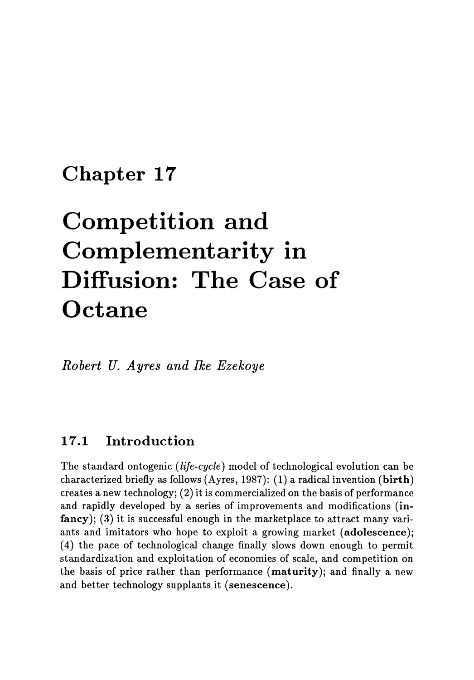# **Chapter 17**

# **Competition and Complementarity in Diffusion: The Case of Octane**

*Robert U. Ayres and Ike Ezekoye* 

## **17.1 Introduction**

The standard ontogenic *(life-cycle)* model of technological evolution can be characterized briefly as follows (Ayres, 1987): (1) a radical invention (birth) creates a new technology;  $(2)$  it is commercialized on the basis of performance and rapidly developed by a series of improvements and modifications (infancy); (3) it is successful enough in the marketplace to attract many variants and imitators who hope to exploit a growing market (adolescence); ( 4) the pace of technological change finally slows down enough to permit standardization and exploitation of economies of scale, and competition on the basis of price rather than performance (maturity); and finally a new and better technology supplants it (senescence).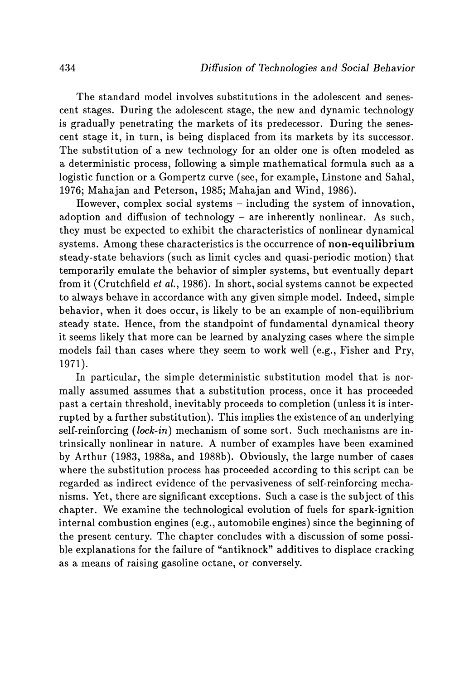The standard model involves substitutions in the adolescent and senescent stages. During the adolescent stage, the new and dynamic technology is gradually penetrating the markets of its predecessor. During the senescent stage it, in turn, is being displaced from its markets by its successor. The substitution of a new technology for an older one is often modeled as a deterministic process, following a simple mathematical formula such as a logistic function or a Gompertz curve (see, for example, Linstone and Sahal, 1976; Mahajan and Peterson, 1985; Mahajan and Wind, 1986).

However, complex social systems - including the system of innovation, adoption and diffusion of technology - are inherently nonlinear. As such, they must be expected to exhibit the characteristics of nonlinear dynamical systems. Among these characteristics is the occurrence of **non-equilibrium**  steady-state behaviors (such as limit cycles and quasi-periodic motion) that temporarily emulate the behavior of simpler systems, but eventually depart from it (Crutchfield *et ai.,* 1986). In short, social systems cannot be expected to always behave in accordance with any given simple model. Indeed, simple behavior, when it does occur, is likely to be an example of non-equilibrium steady state. Hence, from the standpoint of fundamental dynamical theory it seems likely that more can be learned by analyzing cases where the simple models fail than cases where they seem to work well (e.g., Fisher and Pry, 1971).

In particular, the simple deterministic substitution model that is normally assumed assumes that a substitution process, once it has proceeded past a certain threshold, inevitably proceeds to completion (unless it is interrupted by a further substitution). This implies the existence of an underlying self-reinforcing *(lock-in)* mechanism of some sort. Such mechanisms are intrinsically nonlinear in nature. A number of examples have been examined by Arthur (1983, 1988a, and 1988b). Obviously, the large number of cases where the substitution process has proceeded according to this script can be regarded as indirect evidence of the pervasiveness of self-reinforcing mechanisms. Yet, there are significant exceptions. Such a case is the subject of this chapter. We examine the technological evolution of fuels for spark-ignition internal combustion engines (e.g., automobile engines) since the beginning of the present century. The chapter concludes with a discussion of some possible explanations for the failure of "antiknock" additives to displace cracking as a means of raising gasoline octane, or conversely.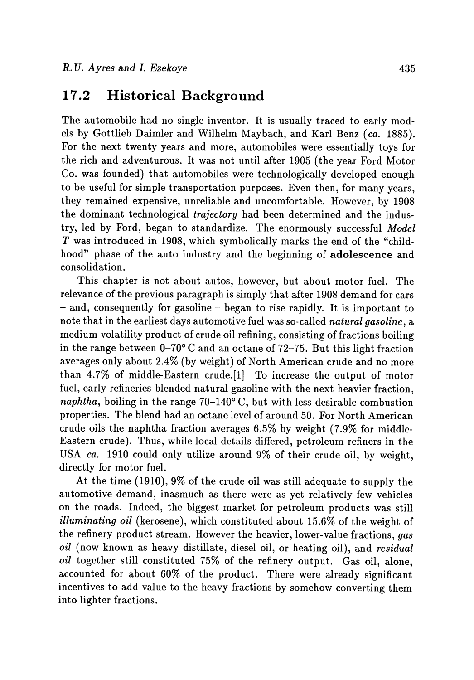#### **17.2 Historical Background**

The automobile had no single inventor. It is usually traced to early models by Gottlieb Daimler and Wilhelm Maybach, and Karl Benz *(ca. 1885).*  For the next twenty years and more, automobiles were essentially toys for the rich and adventurous. It was not until after 1905 (the year Ford Motor *Co.* was founded) that automobiles were technologically developed enough to be useful for simple transportation purposes. Even then, for many years, they remained expensive, unreliable and uncomfortable. However, by 1908 the dominant technological *trajectory* had been determined and the industry, led by Ford, began to standardize. The enormously successful *Model T* was introduced in 1908, which symbolically marks the end of the "childhood" phase of the auto industry and the beginning of adolescence and consolidation.

This chapter is not about autos, however, but about motor fuel. The relevance of the previous paragraph is simply that after 1908 demand for cars - and, consequently for gasoline - began to rise rapidly. It is important to note that in the earliest days automotive fuel was so-called *natural gasoline,* a medium volatility product of crude oil refining, consisting of fractions boiling in the range between  $0-70^{\circ}$  C and an octane of 72-75. But this light fraction averages only about 2.4% (by weight) of North American crude and no more than 4.7% of middle-Eastern crude.[l] To increase the output of motor fuel, early refineries blended natural gasoline with the next heavier fraction, *naphtha*, boiling in the range  $70-140^{\circ}$  C, but with less desirable combustion properties. The blend had an octane level of around 50. For North American crude oils the naphtha fraction averages 6.5% by weight (7.9% for middle-Eastern crude). Thus, while local details differed, petroleum refiners in the USA *ca.* 1910 could only utilize around 9% of their crude oil, by weight, directly for motor fuel.

At the time (1910),9% of the crude oil was still adequate to supply the automotive demand, inasmuch as there were as yet relatively few vehicles on the roads. Indeed, the biggest market for petroleum products was still *illuminating oil* (kerosene), which constituted about 15.6% of the weight of the refinery product stream. However the heavier, lower-value fractions, *gas oil* (now known as heavy distillate, diesel oil, or heating oil), and *residual oil* together still constituted 75% of the refinery output. Gas oil, alone, accounted for about 60% of the product. There were already significant incentives to add value to the heavy fractions by somehow converting them into lighter fractions.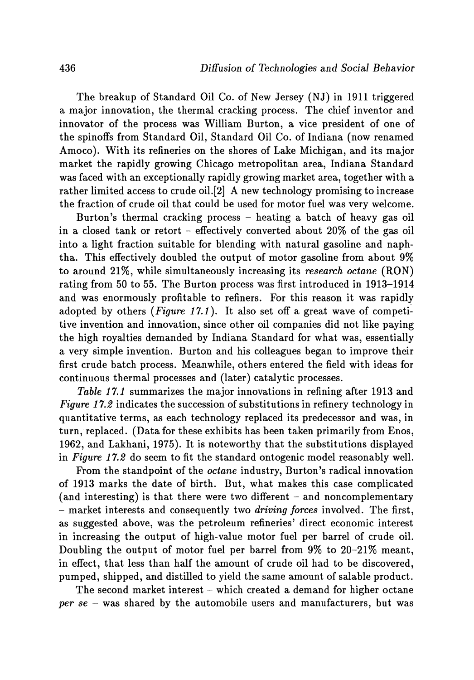The breakup of Standard Oil Co. of New Jersey (NJ) in 1911 triggered a major innovation, the thermal cracking process. The chief inventor and innovator of the process was William Burton, a vice president of one of the spinoffs from Standard Oil, Standard Oil Co. of Indiana (now renamed Amoco). With its refineries on the shores of Lake Michigan, and its major market the rapidly growing Chicago metropolitan area, Indiana Standard was faced with an exceptionally rapidly growing market area, together with a rather limited access to crude oil.[2] A new technology promising to increase the fraction of crude oil that could be used for motor fuel was very welcome.

Burton's thermal cracking process - heating a batch of heavy gas oil in a closed tank or retort - effectively converted about 20% of the gas oil into a light fraction suitable for blending with natural gasoline and naphtha. This effectively doubled the output of motor gasoline from about 9% to around 21%, while simultaneously increasing its *research octane* (RON) rating from 50 to 55. The Burton process was first introduced in 1913-1914 and was enormously profitable to refiners. For this reason it was rapidly adopted by others  $(Figure 17.1)$ . It also set off a great wave of competitive invention and innovation, since other oil companies did not like paying the high royalties demanded by Indiana Standard for what was, essentially a very simple invention. Burton and his colleagues began to improve their first crude batch process. Meanwhile, others entered the field with ideas for continuous thermal processes and (later) catalytic processes.

*Table* 17.1 summarizes the major innovations in refining after 1913 and *Figure 17.2* indicates the succession of substitutions in refinery technology in quantitative terms, as each technology replaced its predecessor and was, in turn, replaced. (Data for these exhibits has been taken primarily from Enos, 1962, and Lakhani, 1975). It is noteworthy that the substitutions displayed in *Figure* 17.2 do seem to fit the standard ontogenic model reasonably well.

From the standpoint of the *octane* industry, Burton's radical innovation of 1913 marks the date of birth. But, what makes this case complicated (and interesting) is that there were two different  $-$  and noncomplementary - market interests and consequently two *driving forces* involved. The first, as suggested above, was the petroleum refineries' direct economic interest in increasing the output of high-value motor fuel per barrel of crude oil. Doubling the output of motor fuel per barrel from 9% to 20-21% meant, in effect, that less than half the amount of crude oil had to be discovered, pumped, shipped, and distilled to yield the same amount of salable product.

The second market interest – which created a demand for higher octane *per se* - was shared by the automobile users and manufacturers, but was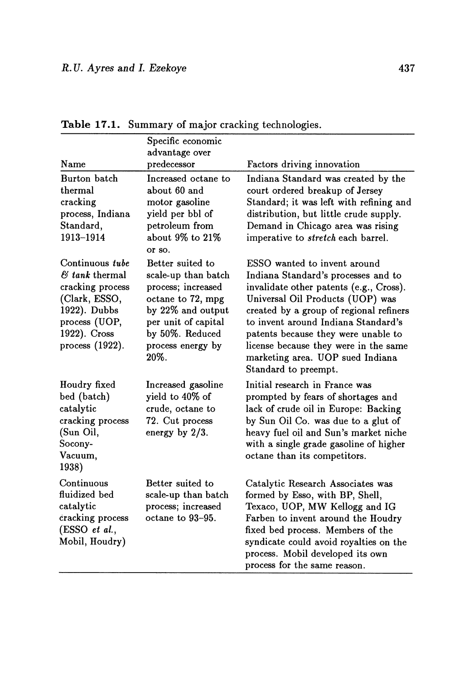|                                                                                                                                                        | Specific economic<br>advantage over                                                                                                                                            |                                                                                                                                                                                                                                                                                                                                                                                  |
|--------------------------------------------------------------------------------------------------------------------------------------------------------|--------------------------------------------------------------------------------------------------------------------------------------------------------------------------------|----------------------------------------------------------------------------------------------------------------------------------------------------------------------------------------------------------------------------------------------------------------------------------------------------------------------------------------------------------------------------------|
| Name                                                                                                                                                   | predecessor                                                                                                                                                                    | Factors driving innovation                                                                                                                                                                                                                                                                                                                                                       |
| Burton batch<br>thermal<br>cracking<br>process, Indiana<br>Standard,<br>1913-1914                                                                      | Increased octane to<br>about 60 and<br>motor gasoline<br>yield per bbl of<br>petroleum from<br>about 9% to 21%<br>or so.                                                       | Indiana Standard was created by the<br>court ordered breakup of Jersey<br>Standard; it was left with refining and<br>distribution, but little crude supply.<br>Demand in Chicago area was rising<br>imperative to stretch each barrel.                                                                                                                                           |
| Continuous tube<br>$\mathcal{B}$ tank thermal<br>cracking process<br>(Clark, ESSO,<br>1922). Dubbs<br>process (UOP,<br>1922). Cross<br>process (1922). | Better suited to<br>scale-up than batch<br>process; increased<br>octane to 72, mpg<br>by 22% and output<br>per unit of capital<br>by 50%. Reduced<br>process energy by<br>20%. | ESSO wanted to invent around<br>Indiana Standard's processes and to<br>invalidate other patents (e.g., Cross).<br>Universal Oil Products (UOP) was<br>created by a group of regional refiners<br>to invent around Indiana Standard's<br>patents because they were unable to<br>license because they were in the same<br>marketing area. UOP sued Indiana<br>Standard to preempt. |
| Houdry fixed<br>bed (batch)<br>catalytic<br>cracking process<br>(Sun Oil,<br>Socony-<br>Vacuum,<br>1938)                                               | Increased gasoline<br>yield to 40% of<br>crude, octane to<br>72. Cut process<br>energy by $2/3$ .                                                                              | Initial research in France was<br>prompted by fears of shortages and<br>lack of crude oil in Europe: Backing<br>by Sun Oil Co. was due to a glut of<br>heavy fuel oil and Sun's market niche<br>with a single grade gasoline of higher<br>octane than its competitors.                                                                                                           |
| Continuous<br>fluidized bed<br>catalytic<br>cracking process<br>(ESSO et al.,<br>Mobil, Houdry)                                                        | Better suited to<br>scale-up than batch<br>process; increased<br>octane to 93-95.                                                                                              | Catalytic Research Associates was<br>formed by Esso, with BP, Shell,<br>Texaco, UOP, MW Kellogg and IG<br>Farben to invent around the Houdry<br>fixed bed process. Members of the<br>syndicate could avoid royalties on the<br>process. Mobil developed its own<br>process for the same reason.                                                                                  |

**Table 17.1.** Summary of major cracking technologies.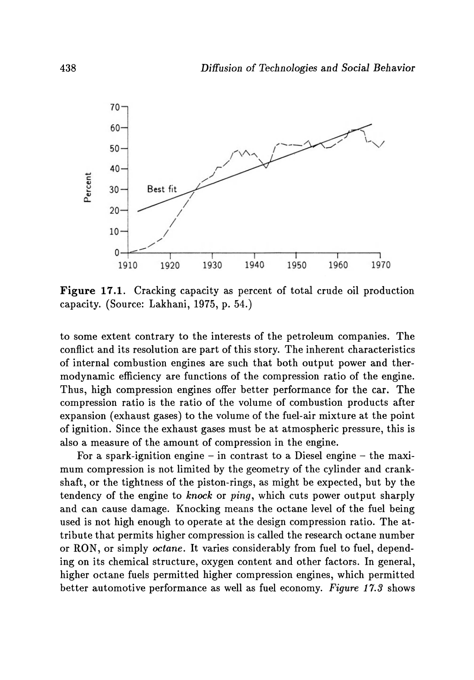

**Figure 17.1.** Cracking capacity as percent of total crude oil production capacity. (Source: Lakhani, 1975, p. 54.)

to some extent contrary to the interests of the petroleum companies. The conflict and its resolution are part of this story. The inherent characteristics of internal combustion engines are such that both output power and thermodynamic efficiency are functions of the compression ratio of the engine. Thus, high compression engines offer better performance for the car. The compression ratio is the ratio of the volume of combustion products after expansion (exhaust gases) to the volume of the fuel-air mixture at the point of ignition. Since the exhaust gases must be at atmospheric pressure, this is also a measure of the amount of compression in the engine.

For a spark-ignition engine  $-$  in contrast to a Diesel engine  $-$  the maximum compression is not limited by the geometry of the cylinder and crankshaft, or the tightness of the piston-rings, as might be expected, but by the tendency of the engine to *knock* or *ping,* which cuts power output sharply and can cause damage. Knocking means the octane level of the fuel being used is not high enough to operate at the design compression ratio. The attribute that permits higher compression is called the research octane number or RON, or simply *octane.* It varies considerably from fuel to fuel, depending on its chemical structure, oxygen content and other factors. In general, higher octane fuels permitted higher compression engines, which permitted better automotive performance as well as fuel economy. *Figure* 17.3 shows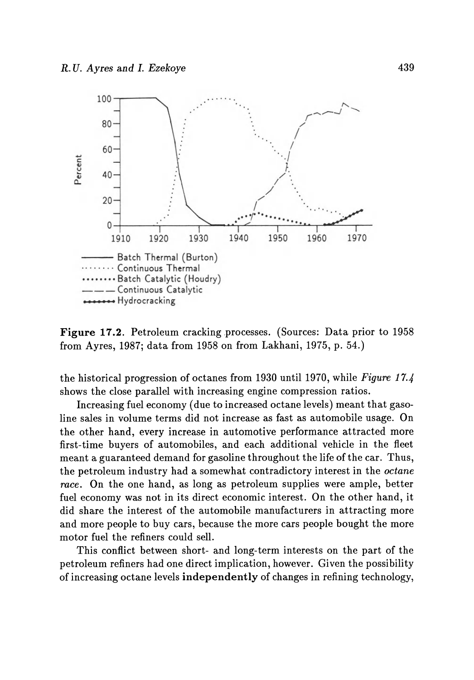

Figure 17.2. Petroleum cracking processes. (Sources: Data prior to 1958) from Ayres, 1987; data from 1958 on from Lakhani, 1975, p. 54.)

the historical progression of octanes from 1930 until 1970, while *Figure 17.4*  shows the close parallel with increasing engine compression ratios.

Increasing fuel economy (due to increased octane levels) meant that gasoline sales in volume terms did not increase as fast as automobile usage. On the other hand, every increase in automotive performance attracted more first-time buyers of automobiles, and each additional vehicle in the fleet meant a guaranteed demand for gasoline throughout the life of the car. Thus, the petroleum industry had a somewhat contradictory interest in the *octane race.* On the one hand, as long as petroleum supplies were ample, better fuel economy was not in its direct economic interest. On the other hand, it did share the interest of the automobile manufacturers in attracting more and more people to buy cars, because the more cars people bought the more motor fuel the refiners could sell.

This conflict between short- and long-term interests on the part of the petroleum refiners had one direct implication, however. Given the possibility of increasing octane levels independently of changes in refining technology,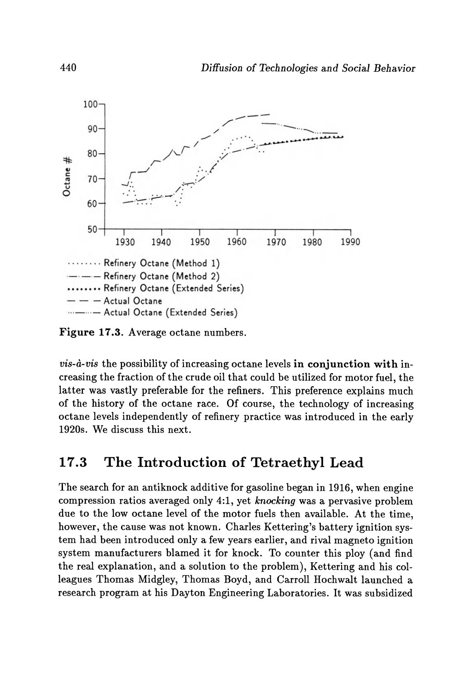

Figure 17.3. Average octane numbers.

*vis-a-vis* the possibility of increasing octane levels in conjunction with increasing the fraction of the crude oil that could be utilized for motor fuel, the latter was vastly preferable for the refiners. This preference explains much of the history of the octane race. Of course, the technology of increasing octane levels independently of refinery practice was introduced in the early 1920s. We discuss this next.

### 17.3 The Introduction of Tetraethyl Lead

The search for an antiknock additive for gasoline began in 1916, when engine compression ratios averaged only 4:1, yet *knocking* was a pervasive problem due to the low octane level of the motor fuels then available. At the time, however, the cause was not known. Charles Kettering's battery ignition system had been introduced only a few years earlier, and rival magneto ignition system manufacturers blamed it for knock. To counter this ploy (and find the real explanation, and a solution to the problem), Kettering and his colleagues Thomas Midgley, Thomas Boyd, and Carroll Hochwalt launched a research program at his Dayton Engineering Laboratories. It was subsidized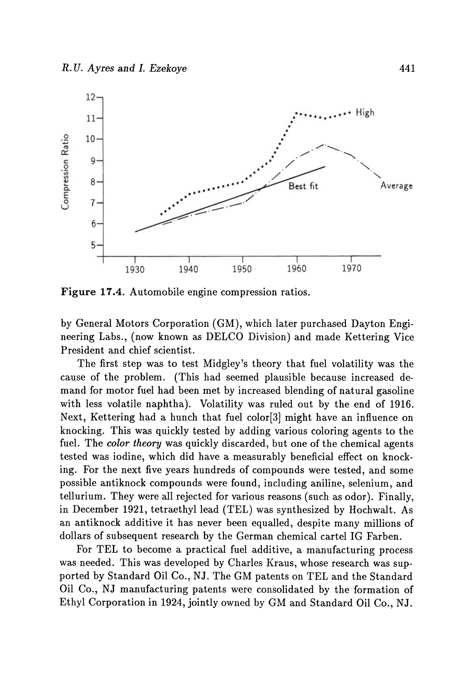

**Figure** 17.4. Automobile engine compression ratios.

by General Motors Corporation (GM), which later purchased Dayton Engineering Labs., (now known as DELCO Division) and made Kettering Vice President and chief scientist.

The first step was to test Midgley's theory that fuel volatility was the cause of the problem. (This had seemed plausible because increased demand for motor fuel had been met by increased blending of natural gasoline with less volatile naphtha). Volatility was ruled out by the end of 1916. Next, Kettering had a hunch that fuel color[3] might have an influence on knocking. This was quickly tested by adding various coloring agents to the fuel. The *color theory* was quickly discarded, but one of the chemical agents tested was iodine, which did have a measurably beneficial effect on knocking. For the next five years hundreds of compounds were tested, and some possible antiknock compounds were found, including aniline, selenium, and tellurium. They were all rejected for various reasons (such as odor). Finally, in December 1921, tetraethyllead (TEL) was synthesized by Hochwalt. As an antiknock additive it has never been equalled, despite many millions of dollars of subsequent research by the German chemical cartel IG Farben.

For TEL to become a practical fuel additive, a manufacturing process was needed. This was developed by Charles Kraus, whose research was supported by Standard Oil Co., NJ. The GM patents on TEL and the Standard Oil Co., NJ manufacturing patents were consolidated by the formation of Ethyl Corporation in 1924, jointly owned by GM and Standard Oil *Co.,* NJ.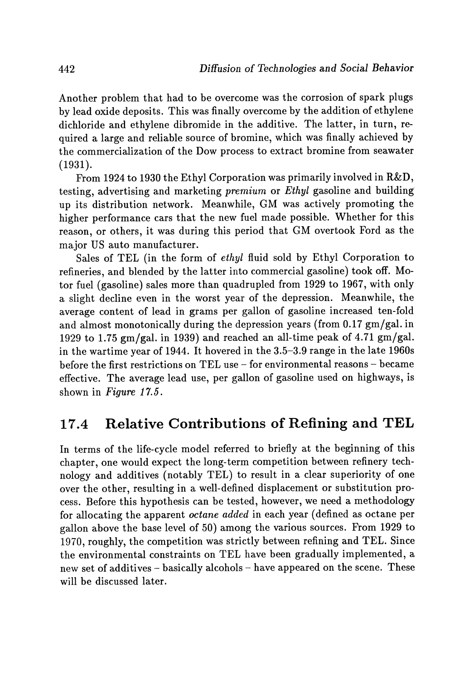Another problem that had to be overcome was the corrosion of spark plugs by lead oxide deposits. This was finally overcome by the addition of ethylene dichloride and ethylene dibromide in the additive. The latter, in turn, required a large and reliable source of bromine, which was finally achieved by the commercialization of the Dow process to extract bromine from seawater (1931).

From 1924 to 1930 the Ethyl Corporation was primarily involved in R&D, testing, advertising and marketing *premium* or *Ethyl* gasoline and building up its distribution network. Meanwhile, GM was actively promoting the higher performance cars that the new fuel made possible. Whether for this reason, or others, it was during this period that GM overtook Ford as the major US auto manufacturer.

Sales of TEL (in the form of *ethyl* fluid sold by Ethyl Corporation to refineries, and blended by the latter into commercial gasoline) took off. Motor fuel (gasoline) sales more than quadrupled from 1929 to 1967, with only a slight decline even in the worst year of the depression. Meanwhile, the average content of lead in grams per gallon of gasoline increased ten-fold and almost monotonically during the depression years (from 0.17 gm/gal. in 1929 to 1.75 gm/gal. in 1939) and reached an all-time peak of 4.71 gm/gal. in the wartime year of 1944. It hovered in the 3.5-3.9 range in the late 1960s before the first restrictions on TEL use - for environmental reasons - became effective. The average lead use, per gallon of gasoline used on highways, is shown in *Figure* 17.5.

#### **17.4 Relative Contributions of Refining and TEL**

In terms of the life-cycle model referred to briefly at the beginning of this chapter, one would expect the long-term competition between refinery technology and additives (notably TEL) to result in a clear superiority of one over the other, resulting in a well-defined displacement or substitution process. Before this hypothesis can be tested, however, we need a methodology for allocating the apparent *octane added* in each year (defined as octane per gallon above the base level of 50) among the various sources. From 1929 to 1970, roughly, the competition was strictly between refining and TEL. Since the environmental constraints on TEL have been gradually implemented, a new set of additives - basically alcohols - have appeared on the scene. These will be discussed later.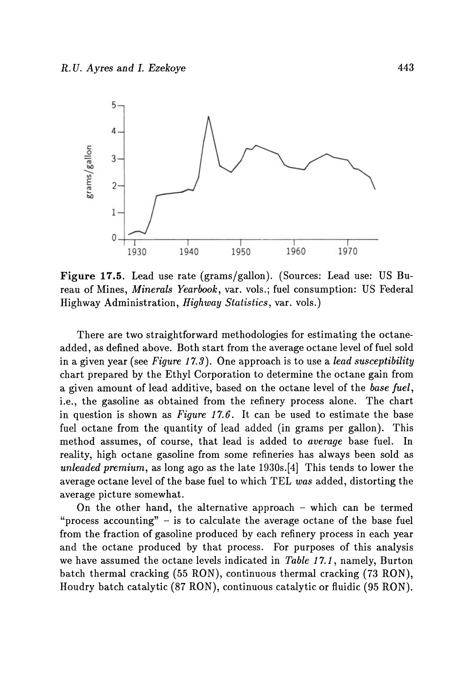

**Figure** 17.5. Lead use rate (grams/gallon). (Sources: Lead use: US Bureau of Mines, *Minerals Yearbook,* var. vols.; fuel consumption: US Federal Highway Administration, *Highway Statistics,* var. vols.)

There are two straightforward methodologies for estimating the octaneadded, as defined above. Both start from the average octane level of fuel sold in a given year (see *Figure* 17.3). One approach is to use a *lead susceptibility*  chart prepared by the Ethyl Corporation to determine the octane gain from a given amount of lead additive, based on the octane level of the *base fuel,*  i.e., the gasoline as obtained from the refinery process alone. The chart in question is shown as *Figure* 17.6. It can be used to estimate the base fuel octane from the quantity of lead added (in grams per gallon). This method assumes, of course, that lead is added to *average* base fuel. In reality, high octane gasoline from some refineries has always been sold as *unleaded premium,* as long ago as the late 1930s.[4] This tends to lower the average octane level of the base fuel to which TEL *was* added, distorting the average picture somewhat.

On the other hand, the alternative approach  $-$  which can be termed "process accounting"  $-$  is to calculate the average octane of the base fuel from the fraction of gasoline produced by each refinery process in each year and the octane produced by that process. For purposes of this analysis we have assumed the octane levels indicated in *Table* 17.1, namely, Burton batch thermal cracking (55 RON), continuous thermal cracking (73 RON), Houdry batch catalytic (87 RON), continuous catalytic or fluidic (95 RON).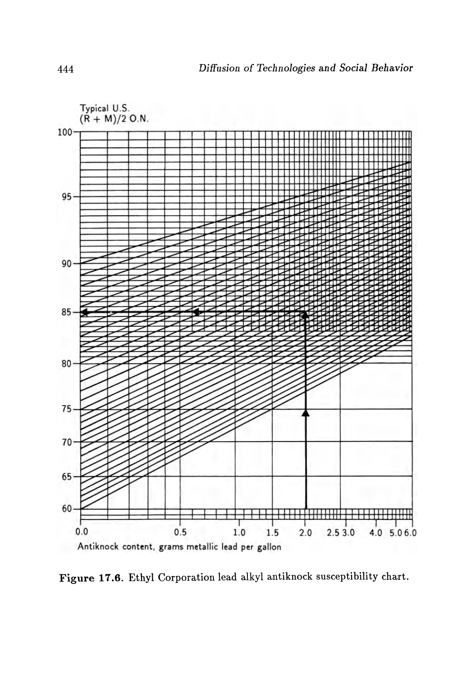

Figure 17.6. Ethyl Corporation lead alkyl antiknock susceptibility chart.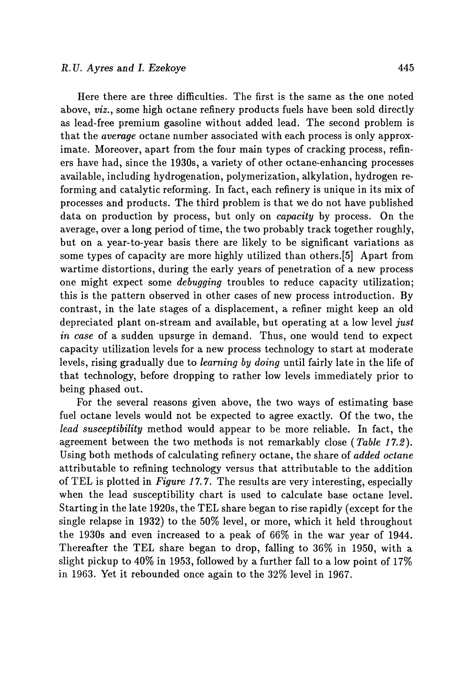Here there are three difficulties. The first is the same as the one noted above, *viz.,* some high octane refinery products fuels have been sold directly as lead-free premium gasoline without added lead. The second problem is that the *average* octane number associated with each process is only approximate. Moreover, apart from the four main types of cracking process, refiners have had, since the 1930s, a variety of other octane-enhancing processes available, including hydrogenation, polymerization, alkylation, hydrogen reforming and catalytic reforming. In fact, each refinery is unique in its mix of processes and products. The third problem is that we do not have published data on production by process, but only on *capacity* by process. On the average, over a long period of time, the two probably track together roughly, but on a year-to-year basis there are likely to be significant variations as some types of capacity are more highly utilized than others.[5] Apart from wartime distortions, during the early years of penetration of a new process one might expect some *debugging* troubles to reduce capacity utilization; this is the pattern observed in other cases of new process introduction. By contrast, in the late stages of a displacement, a refiner might keep an old depreciated plant on-stream and available, but operating at a low level *just in case* of a sudden upsurge in demand. Thus, one would tend to expect capacity utilization levels for a new process technology to start at moderate levels, rising gradually due to *learning by doing* until fairly late in the life of that technology, before dropping to rather low levels immediately prior to being phased out.

For the several reasons given above, the two ways of estimating base fuel octane levels would not be expected to agree exactly. Of the two, the *lead susceptibility* method would appear to be more reliable. In fact, the agreement between the two methods is not remarkably close *(Table 17.2).*  U sing both methods of calculating refinery octane, the share of *added octane*  attributable to refining technology versus that attributable to the addition of TEL is plotted in *Figure* 17.7. The results are very interesting, especially when the lead susceptibility chart is used to calculate base octane level. Starting in the late 1920s, the TEL share began to rise rapidly (except for the single relapse in 1932) to the 50% level, or more, which it held throughout the 1930s and even increased to a peak of 66% in the war year of 1944. Thereafter the TEL share began to drop, falling to 36% in 1950, with a slight pickup to 40% in 1953, followed by a further fall to a low point of 17% in 1963. Yet it rebounded once again to the 32% level in 1967.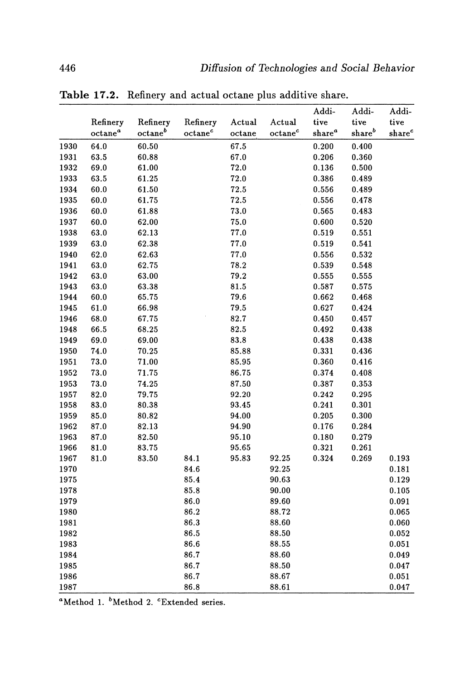|      |                     |                     |                     |        |                     | Addi-              | Addi-              | Addi-              |
|------|---------------------|---------------------|---------------------|--------|---------------------|--------------------|--------------------|--------------------|
|      | Refinery            | Refinery            | Refinery            | Actual | Actual              | tive               | tive               | tive               |
|      | octane <sup>a</sup> | octane <sup>b</sup> | octane <sup>c</sup> | octane | octane <sup>c</sup> | share <sup>a</sup> | share <sup>b</sup> | share <sup>c</sup> |
| 1930 | 64.0                | 60.50               |                     | 67.5   |                     | 0.200              | 0.400              |                    |
| 1931 | 63.5                | 60.88               |                     | 67.0   |                     | 0.206              | 0.360              |                    |
| 1932 | 69.0                | 61.00               |                     | 72.0   |                     | 0.136              | 0.500              |                    |
| 1933 | 63.5                | 61.25               |                     | 72.0   |                     | 0.386              | 0.489              |                    |
| 1934 | 60.0                | 61.50               |                     | 72.5   |                     | 0.556              | 0.489              |                    |
| 1935 | 60.0                | 61.75               |                     | 72.5   |                     | 0.556              | 0.478              |                    |
| 1936 | $60.0\,$            | 61.88               |                     | 73.0   |                     | 0.565              | 0.483              |                    |
| 1937 | 60.0                | 62.00               |                     | 75.0   |                     | 0.600              | 0.520              |                    |
| 1938 | 63.0                | 62.13               |                     | 77.0   |                     | 0.519              | 0.551              |                    |
| 1939 | 63.0                | 62.38               |                     | 77.0   |                     | 0.519              | 0.541              |                    |
| 1940 | 62.0                | 62.63               |                     | 77.0   |                     | 0.556              | 0.532              |                    |
| 1941 | 63.0                | 62.75               |                     | 78.2   |                     | 0.539              | 0.548              |                    |
| 1942 | 63.0                | 63.00               |                     | 79.2   |                     | 0.555              | 0.555              |                    |
| 1943 | 63.0                | 63.38               |                     | 81.5   |                     | 0.587              | 0.575              |                    |
| 1944 | 60.0                | 65.75               |                     | 79.6   |                     | 0.662              | 0.468              |                    |
| 1945 | 61.0                | 66.98               |                     | 79.5   |                     | 0.627              | 0.424              |                    |
| 1946 | 68.0                | 67.75               |                     | 82.7   |                     | 0.450              | 0.457              |                    |
| 1948 | 66.5                | 68.25               |                     | 82.5   |                     | 0.492              | 0.438              |                    |
| 1949 | 69.0                | 69.00               |                     | 83.8   |                     | 0.438              | 0.438              |                    |
| 1950 | 74.0                | 70.25               |                     | 85.88  |                     | 0.331              | 0.436              |                    |
| 1951 | 73.0                | 71.00               |                     | 85.95  |                     | 0.360              | 0.416              |                    |
| 1952 | 73.0                | 71.75               |                     | 86.75  |                     | 0.374              | 0.408              |                    |
| 1953 | 73.0                | 74.25               |                     | 87.50  |                     | 0.387              | 0.353              |                    |
| 1957 | 82.0                | 79.75               |                     | 92.20  |                     | 0.242              | 0.295              |                    |
| 1958 | 83.0                | 80.38               |                     | 93.45  |                     | 0.241              | 0.301              |                    |
| 1959 | 85.0                | 80.82               |                     | 94.00  |                     | 0.205              | 0.300              |                    |
| 1962 | 87.0                | 82.13               |                     | 94.90  |                     | 0.176              | 0.284              |                    |
| 1963 | 87.0                | 82.50               |                     | 95.10  |                     | 0.180              | 0.279              |                    |
| 1966 | 81.0                | 83.75               |                     | 95.65  |                     | 0.321              | 0.261              |                    |
| 1967 | 81.0                | 83.50               | 84.1                | 95.83  | 92.25               | 0.324              | 0.269              | 0.193              |
| 1970 |                     |                     | 84.6                |        | 92.25               |                    |                    | 0.181              |
| 1975 |                     |                     | 85.4                |        | 90.63               |                    |                    | 0.129              |
| 1978 |                     |                     | 85.8                |        | 90.00               |                    |                    | 0.105              |
| 1979 |                     |                     | 86.0                |        | 89.60               |                    |                    | 0.091              |
| 1980 |                     |                     | 86.2                |        | 88.72               |                    |                    | 0.065              |
| 1981 |                     |                     | 86.3                |        | 88.60               |                    |                    | 0.060              |
| 1982 |                     |                     | 86.5                |        | 88.50               |                    |                    | 0.052              |
| 1983 |                     |                     | 86.6                |        | 88.55               |                    |                    | 0.051              |
| 1984 |                     |                     | 86.7                |        | 88.60               |                    |                    | 0.049              |
| 1985 |                     |                     | 86.7                |        | 88.50               |                    |                    | 0.047              |
| 1986 |                     |                     | 86.7                |        | 88.67               |                    |                    | 0.051              |
| 1987 |                     |                     | 86.8                |        | 88.61               |                    |                    | 0.047              |

**Table 17.2.** Refinery and actual octane plus additive share.

<sup>a</sup>Method 1. <sup>b</sup>Method 2. <sup>c</sup>Extended series.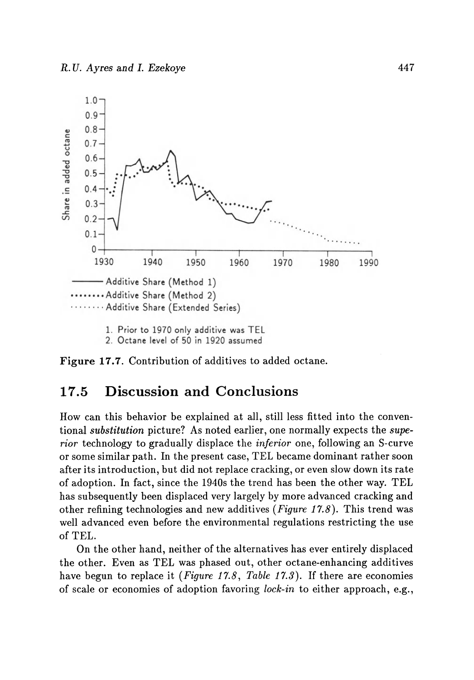

- 2. Octane level of 50 in 1920 assumed
- Figure 17.7. Contribution of additives to added octane.

#### 17.5 Discussion and Conclusions

How can this behavior be explained at all, still less fitted into the conventional *substitution* picture? As noted earlier, one normally expects the *superior* technology to gradually displace the *inferior* one, following an S-curve or some similar path. In the present case, TEL became dominant rather soon after its introduction, but did not replace cracking, or even slow down its rate of adoption. In fact, since the 1940s the trend has been the other way. TEL has subsequently been displaced very largely by more advanced cracking and other refining technologies and new additives *(Figure* 17.8). This trend was well advanced even before the environmental regulations restricting the use of TEL.

On the other hand, neither of the alternatives has ever entirely displaced the other. Even as TEL was phased out, other octane-enhancing additives have begun to replace it *(Figure* 17.8, *Table* 17.3). If there are economies of scale or economies of adoption favoring *lock-in* to either approach, e.g.,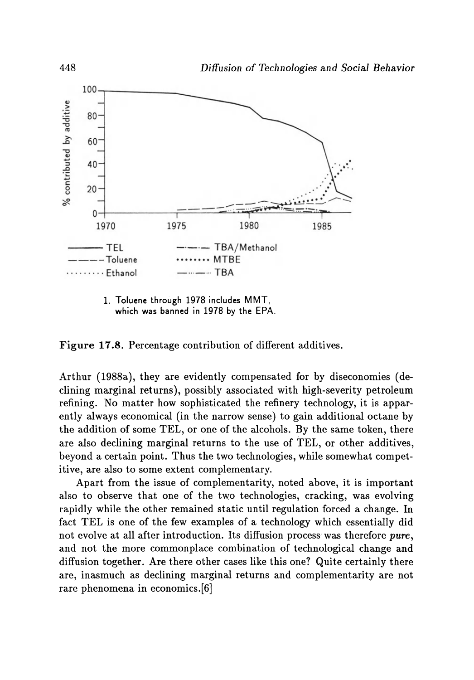

1. Toluene through 1978 includes MMT, which was banned in 1978 by the EPA.

Figure 17.8. Percentage contribution of different additives.

Arthur (1988a), they are evidently compensated for by diseconomies (declining marginal returns), possibly associated with high-severity petroleum refining. No matter how sophisticated the refinery technology, it is apparently always economical (in the narrow sense) to gain additional octane by the addition of some TEL, or one of the alcohols. By the same token, there are also declining marginal returns to the use of TEL, or other additives, beyond a certain point. Thus the two technologies, while somewhat competitive, are also to some extent complementary.

Apart from the issue of complementarity, noted above, it is important also to observe that one of the two technologies, cracking, was evolving rapidly while the other remained static until regulation forced a change. In fact TEL is one of the few examples of a technology which essentially did not evolve at all after introduction. Its diffusion process was therefore *pure,*  and not the more commonplace combination of technological change and diffusion together. Are there other cases like this one? Quite certainly there are, inasmuch as declining marginal returns and complementarity are not rare phenomena in economics.[6]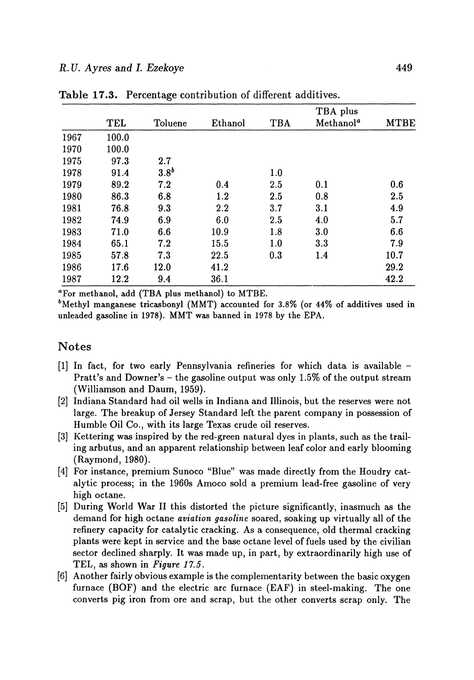|      |       |                  |         |            | TBA plus              |             |
|------|-------|------------------|---------|------------|-----------------------|-------------|
|      | TEL   | Toluene          | Ethanol | <b>TBA</b> | Methanol <sup>a</sup> | <b>MTBE</b> |
| 1967 | 100.0 |                  |         |            |                       |             |
| 1970 | 100.0 |                  |         |            |                       |             |
| 1975 | 97.3  | 2.7              |         |            |                       |             |
| 1978 | 91.4  | 3.8 <sup>b</sup> |         | 1.0        |                       |             |
| 1979 | 89.2  | 7.2              | 0.4     | 2.5        | 0.1                   | 0.6         |
| 1980 | 86.3  | 6.8              | 1.2     | $2.5\,$    | 0.8                   | 2.5         |
| 1981 | 76.8  | 9.3              | 2.2     | 3.7        | 3.1                   | 4.9         |
| 1982 | 74.9  | 6.9              | 6.0     | 2.5        | 4.0                   | 5.7         |
| 1983 | 71.0  | 6.6              | 10.9    | 1.8        | 3.0                   | 6.6         |
| 1984 | 65.1  | 7.2              | 15.5    | 1.0        | 3.3                   | 7.9         |
| 1985 | 57.8  | 7.3              | 22.5    | 0.3        | 1.4                   | 10.7        |
| 1986 | 17.6  | 12.0             | 41.2    |            |                       | 29.2        |
| 1987 | 12.2  | 9.4              | 36.1    |            |                       | 42.2        |

Table 17.3. Percentage contribution of different additives.

aFor methanol, add (TBA plus methanol) to MTBE.

 $b$ Methyl manganese tricasbonyl (MMT) accounted for 3.8% (or 44% of additives used in unleaded gasoline in 1978). MMT was banned in 1978 by the EPA.

#### Notes

- [1] In fact, for two early Pennsylvania refineries for which data is available Pratt's and Downer's - the gasoline output was only 1.5% of the output stream (Williamson and Daum, 1959).
- [2] Indiana Standard had oil wells in Indiana and Illinois, but the reserves were not large. The breakup of Jersey Standard left the parent company in possession of Humble Oil Co., with its large Texas crude oil reserves.
- [3] Kettering was inspired by the red-green natural dyes in plants, such as the trailing arbutus, and an apparent relationship between leaf color and early blooming (Raymond, 1980).
- [4] For instance, premium Sunoco "Blue" was made directly from the Houdry catalytic process; in the 1960s Amoco sold a premium lead-free gasoline of very high octane.
- [5] During World War II this distorted the picture significantly, inasmuch as the demand for high octane *aviation gasoline* soared, soaking up virtually all of the refinery capacity for catalytic cracking. As a consequence, old thermal cracking plants were kept in service and the base octane level of fuels used by the civilian sector declined sharply. It was made up, in part, by extraordinarily high use of TEL, as shown in *Figure 17.5.*
- [6] Another fairly obvious example is the complementarity between the basic oxygen furnace (BOF) and the electric arc furnace (EAF) in steel-making. The one converts pig iron from ore and scrap, but the other converts scrap only. The